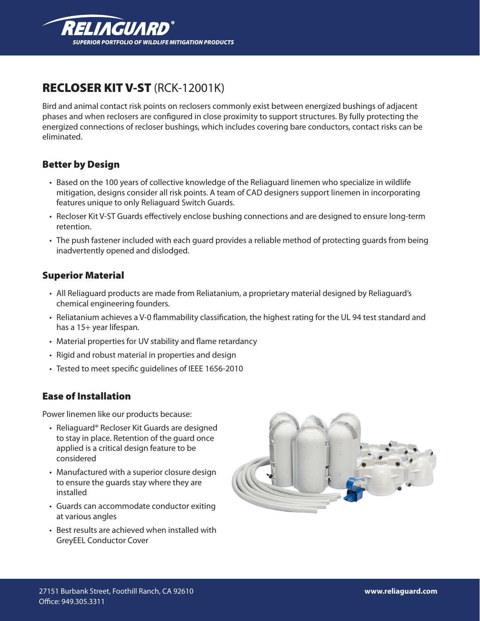

# RECLOSER KIT V-ST (RCK-12001K)

Bird and animal contact risk points on reclosers commonly exist between energized bushings of adjacent phases and when reclosers are configured in close proximity to support structures. By fully protecting the energized connections of recloser bushings, which includes covering bare conductors, contact risks can be eliminated.

#### Better by Design

- • Based on the 100 years of collective knowledge of the Reliaguard linemen who specialize in wildlife mitigation, designs consider all risk points. A team of CAD designers support linemen in incorporating features unique to only Reliaguard Switch Guards.
- • Recloser Kit V-ST Guards effectively enclose bushing connections and are designed to ensure long-term retention.
- The push fastener included with each guard provides a reliable method of protecting guards from being inadvertently opened and dislodged.

#### Superior Material

- • All Reliaguard products are made from Reliatanium, a proprietary material designed by Reliaguard's chemical engineering founders.
- • Reliatanium achieves a V-0 flammability classification, the highest rating for the UL 94 test standard and has a 15+ year lifespan.
- Material properties for UV stability and flame retardancy
- Rigid and robust material in properties and design
- Tested to meet specific quidelines of IEEE 1656-2010

#### Ease of Installation

Power linemen like our products because:

- Reliaguard® Recloser Kit Guards are designed to stay in place. Retention of the guard once applied is a critical design feature to be considered
- Manufactured with a superior closure design to ensure the guards stay where they are installed
- Guards can accommodate conductor exiting at various angles
- Best results are achieved when installed with GreyEEL Conductor Cover